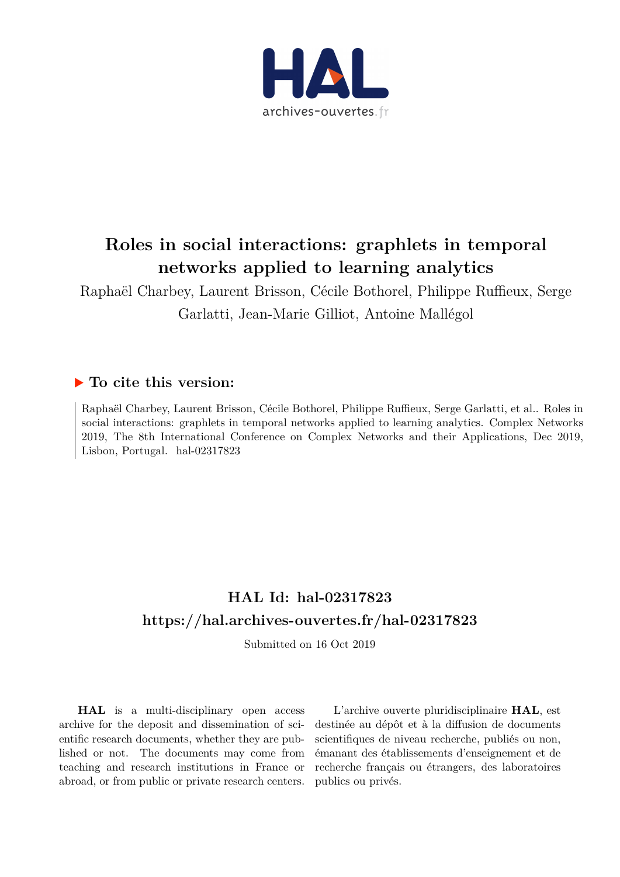

# **Roles in social interactions: graphlets in temporal networks applied to learning analytics**

Raphaël Charbey, Laurent Brisson, Cécile Bothorel, Philippe Ruffieux, Serge Garlatti, Jean-Marie Gilliot, Antoine Mallégol

## **To cite this version:**

Raphaël Charbey, Laurent Brisson, Cécile Bothorel, Philippe Ruffieux, Serge Garlatti, et al.. Roles in social interactions: graphlets in temporal networks applied to learning analytics. Complex Networks 2019, The 8th International Conference on Complex Networks and their Applications, Dec 2019, Lisbon, Portugal.  $hal-02317823$ 

# **HAL Id: hal-02317823 <https://hal.archives-ouvertes.fr/hal-02317823>**

Submitted on 16 Oct 2019

**HAL** is a multi-disciplinary open access archive for the deposit and dissemination of scientific research documents, whether they are published or not. The documents may come from teaching and research institutions in France or abroad, or from public or private research centers.

L'archive ouverte pluridisciplinaire **HAL**, est destinée au dépôt et à la diffusion de documents scientifiques de niveau recherche, publiés ou non, émanant des établissements d'enseignement et de recherche français ou étrangers, des laboratoires publics ou privés.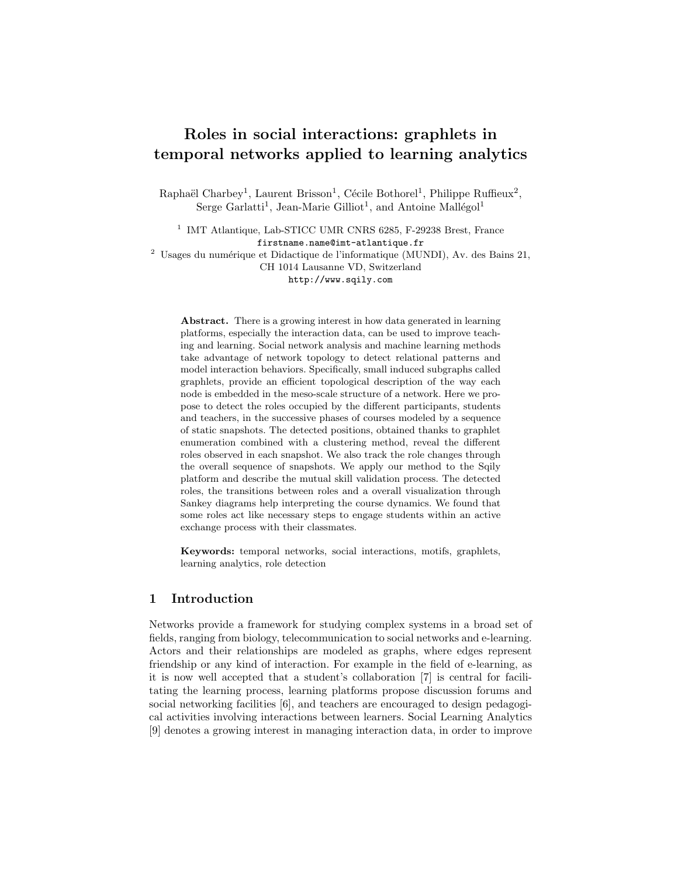## Roles in social interactions: graphlets in temporal networks applied to learning analytics

Raphaël Charbey<sup>1</sup>, Laurent Brisson<sup>1</sup>, Cécile Bothorel<sup>1</sup>, Philippe Ruffieux<sup>2</sup>, Serge Garlatti<sup>1</sup>, Jean-Marie Gilliot<sup>1</sup>, and Antoine Mallégol<sup>1</sup>

<sup>1</sup> IMT Atlantique, Lab-STICC UMR CNRS 6285, F-29238 Brest, France firstname.name@imt-atlantique.fr

 $2$  Usages du numérique et Didactique de l'informatique (MUNDI), Av. des Bains 21, CH 1014 Lausanne VD, Switzerland

http://www.sqily.com

Abstract. There is a growing interest in how data generated in learning platforms, especially the interaction data, can be used to improve teaching and learning. Social network analysis and machine learning methods take advantage of network topology to detect relational patterns and model interaction behaviors. Specifically, small induced subgraphs called graphlets, provide an efficient topological description of the way each node is embedded in the meso-scale structure of a network. Here we propose to detect the roles occupied by the different participants, students and teachers, in the successive phases of courses modeled by a sequence of static snapshots. The detected positions, obtained thanks to graphlet enumeration combined with a clustering method, reveal the different roles observed in each snapshot. We also track the role changes through the overall sequence of snapshots. We apply our method to the Sqily platform and describe the mutual skill validation process. The detected roles, the transitions between roles and a overall visualization through Sankey diagrams help interpreting the course dynamics. We found that some roles act like necessary steps to engage students within an active exchange process with their classmates.

Keywords: temporal networks, social interactions, motifs, graphlets, learning analytics, role detection

#### 1 Introduction

Networks provide a framework for studying complex systems in a broad set of fields, ranging from biology, telecommunication to social networks and e-learning. Actors and their relationships are modeled as graphs, where edges represent friendship or any kind of interaction. For example in the field of e-learning, as it is now well accepted that a student's collaboration [7] is central for facilitating the learning process, learning platforms propose discussion forums and social networking facilities [6], and teachers are encouraged to design pedagogical activities involving interactions between learners. Social Learning Analytics [9] denotes a growing interest in managing interaction data, in order to improve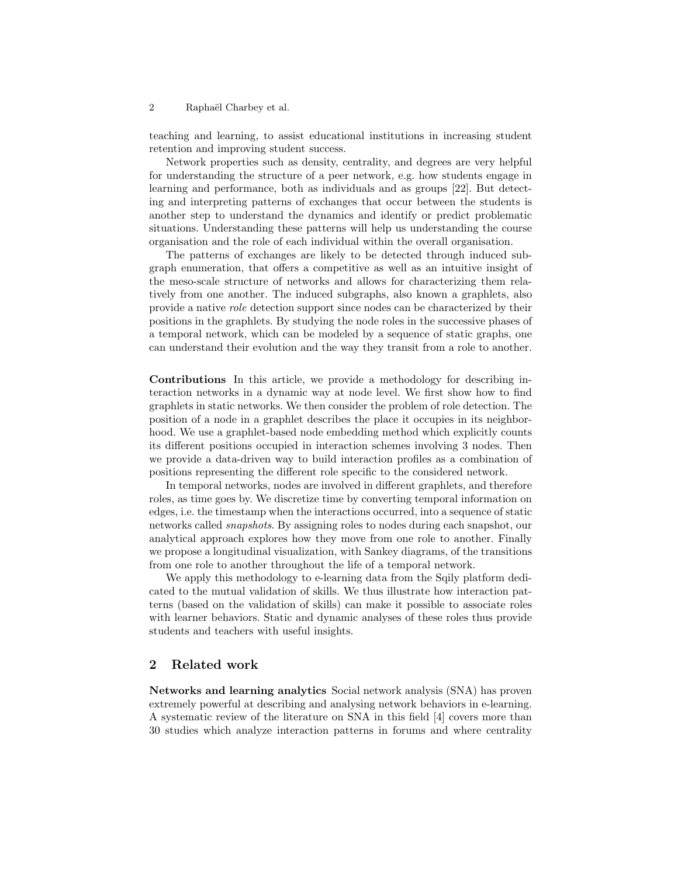#### 2 Raphaël Charbey et al.

teaching and learning, to assist educational institutions in increasing student retention and improving student success.

Network properties such as density, centrality, and degrees are very helpful for understanding the structure of a peer network, e.g. how students engage in learning and performance, both as individuals and as groups [22]. But detecting and interpreting patterns of exchanges that occur between the students is another step to understand the dynamics and identify or predict problematic situations. Understanding these patterns will help us understanding the course organisation and the role of each individual within the overall organisation.

The patterns of exchanges are likely to be detected through induced subgraph enumeration, that offers a competitive as well as an intuitive insight of the meso-scale structure of networks and allows for characterizing them relatively from one another. The induced subgraphs, also known a graphlets, also provide a native role detection support since nodes can be characterized by their positions in the graphlets. By studying the node roles in the successive phases of a temporal network, which can be modeled by a sequence of static graphs, one can understand their evolution and the way they transit from a role to another.

Contributions In this article, we provide a methodology for describing interaction networks in a dynamic way at node level. We first show how to find graphlets in static networks. We then consider the problem of role detection. The position of a node in a graphlet describes the place it occupies in its neighborhood. We use a graphlet-based node embedding method which explicitly counts its different positions occupied in interaction schemes involving 3 nodes. Then we provide a data-driven way to build interaction profiles as a combination of positions representing the different role specific to the considered network.

In temporal networks, nodes are involved in different graphlets, and therefore roles, as time goes by. We discretize time by converting temporal information on edges, i.e. the timestamp when the interactions occurred, into a sequence of static networks called snapshots. By assigning roles to nodes during each snapshot, our analytical approach explores how they move from one role to another. Finally we propose a longitudinal visualization, with Sankey diagrams, of the transitions from one role to another throughout the life of a temporal network.

We apply this methodology to e-learning data from the Sqily platform dedicated to the mutual validation of skills. We thus illustrate how interaction patterns (based on the validation of skills) can make it possible to associate roles with learner behaviors. Static and dynamic analyses of these roles thus provide students and teachers with useful insights.

#### 2 Related work

Networks and learning analytics Social network analysis (SNA) has proven extremely powerful at describing and analysing network behaviors in e-learning. A systematic review of the literature on SNA in this field [4] covers more than 30 studies which analyze interaction patterns in forums and where centrality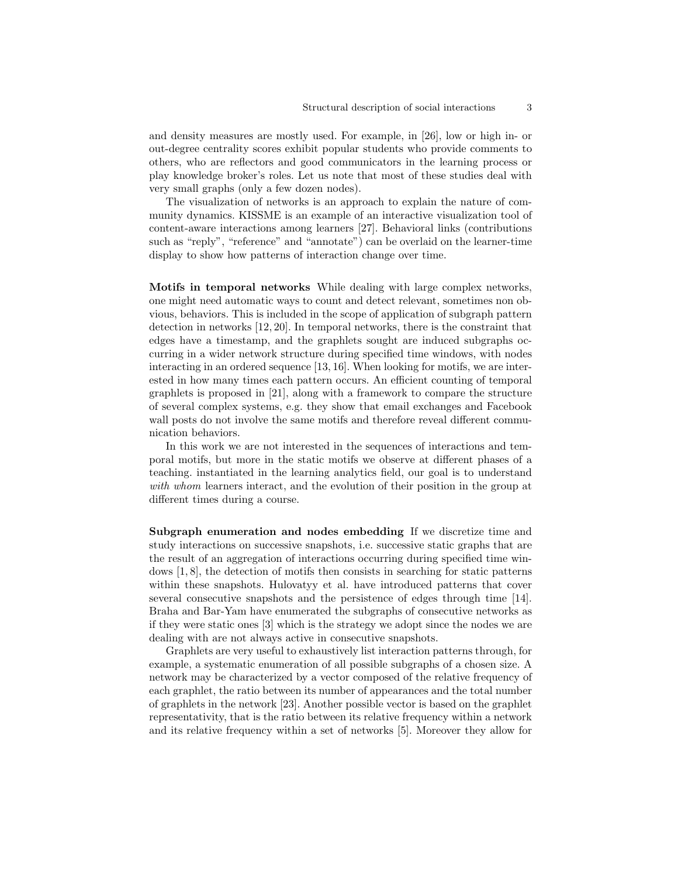and density measures are mostly used. For example, in [26], low or high in- or out-degree centrality scores exhibit popular students who provide comments to others, who are reflectors and good communicators in the learning process or play knowledge broker's roles. Let us note that most of these studies deal with very small graphs (only a few dozen nodes).

The visualization of networks is an approach to explain the nature of community dynamics. KISSME is an example of an interactive visualization tool of content-aware interactions among learners [27]. Behavioral links (contributions such as "reply", "reference" and "annotate") can be overlaid on the learner-time display to show how patterns of interaction change over time.

Motifs in temporal networks While dealing with large complex networks, one might need automatic ways to count and detect relevant, sometimes non obvious, behaviors. This is included in the scope of application of subgraph pattern detection in networks [12, 20]. In temporal networks, there is the constraint that edges have a timestamp, and the graphlets sought are induced subgraphs occurring in a wider network structure during specified time windows, with nodes interacting in an ordered sequence [13, 16]. When looking for motifs, we are interested in how many times each pattern occurs. An efficient counting of temporal graphlets is proposed in [21], along with a framework to compare the structure of several complex systems, e.g. they show that email exchanges and Facebook wall posts do not involve the same motifs and therefore reveal different communication behaviors.

In this work we are not interested in the sequences of interactions and temporal motifs, but more in the static motifs we observe at different phases of a teaching. instantiated in the learning analytics field, our goal is to understand with whom learners interact, and the evolution of their position in the group at different times during a course.

Subgraph enumeration and nodes embedding If we discretize time and study interactions on successive snapshots, i.e. successive static graphs that are the result of an aggregation of interactions occurring during specified time windows [1, 8], the detection of motifs then consists in searching for static patterns within these snapshots. Hulovatyy et al. have introduced patterns that cover several consecutive snapshots and the persistence of edges through time [14]. Braha and Bar-Yam have enumerated the subgraphs of consecutive networks as if they were static ones [3] which is the strategy we adopt since the nodes we are dealing with are not always active in consecutive snapshots.

Graphlets are very useful to exhaustively list interaction patterns through, for example, a systematic enumeration of all possible subgraphs of a chosen size. A network may be characterized by a vector composed of the relative frequency of each graphlet, the ratio between its number of appearances and the total number of graphlets in the network [23]. Another possible vector is based on the graphlet representativity, that is the ratio between its relative frequency within a network and its relative frequency within a set of networks [5]. Moreover they allow for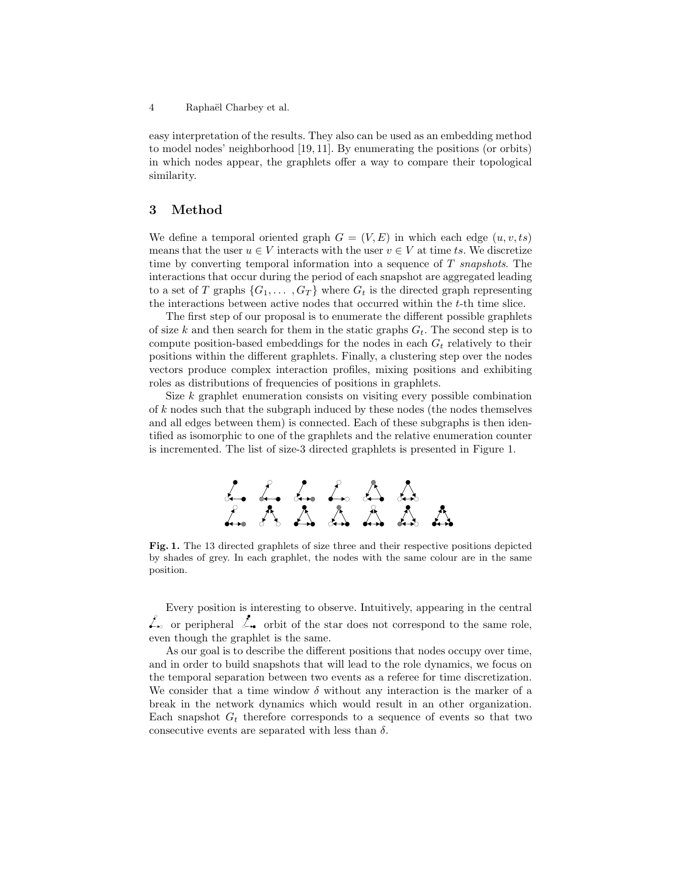4 Raphaël Charbey et al.

easy interpretation of the results. They also can be used as an embedding method to model nodes' neighborhood [19, 11]. By enumerating the positions (or orbits) in which nodes appear, the graphlets offer a way to compare their topological similarity.

### 3 Method

We define a temporal oriented graph  $G = (V, E)$  in which each edge  $(u, v, ts)$ means that the user  $u \in V$  interacts with the user  $v \in V$  at time ts. We discretize time by converting temporal information into a sequence of T snapshots. The interactions that occur during the period of each snapshot are aggregated leading to a set of T graphs  $\{G_1, \ldots, G_T\}$  where  $G_t$  is the directed graph representing the interactions between active nodes that occurred within the t-th time slice.

The first step of our proposal is to enumerate the different possible graphlets of size k and then search for them in the static graphs  $G_t$ . The second step is to compute position-based embeddings for the nodes in each  $G_t$  relatively to their positions within the different graphlets. Finally, a clustering step over the nodes vectors produce complex interaction profiles, mixing positions and exhibiting roles as distributions of frequencies of positions in graphlets.

Size  $k$  graphlet enumeration consists on visiting every possible combination of k nodes such that the subgraph induced by these nodes (the nodes themselves and all edges between them) is connected. Each of these subgraphs is then identified as isomorphic to one of the graphlets and the relative enumeration counter is incremented. The list of size-3 directed graphlets is presented in Figure 1.



Fig. 1. The 13 directed graphlets of size three and their respective positions depicted by shades of grey. In each graphlet, the nodes with the same colour are in the same position.

Every position is interesting to observe. Intuitively, appearing in the central  $\&$  or peripheral  $\&$  orbit of the star does not correspond to the same role, even though the graphlet is the same.

As our goal is to describe the different positions that nodes occupy over time, and in order to build snapshots that will lead to the role dynamics, we focus on the temporal separation between two events as a referee for time discretization. We consider that a time window  $\delta$  without any interaction is the marker of a break in the network dynamics which would result in an other organization. Each snapshot  $G_t$  therefore corresponds to a sequence of events so that two consecutive events are separated with less than  $\delta$ .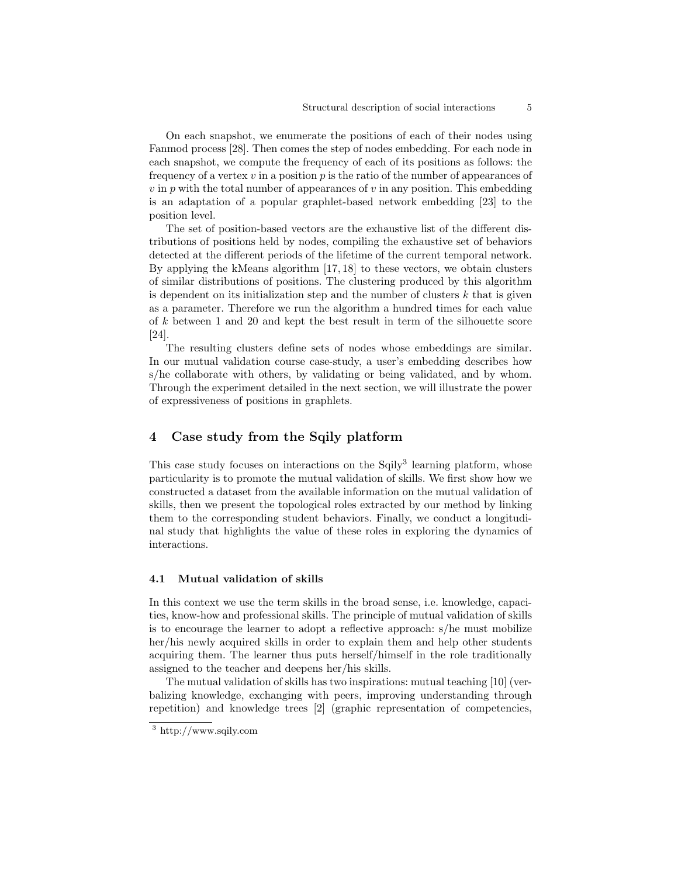On each snapshot, we enumerate the positions of each of their nodes using Fanmod process [28]. Then comes the step of nodes embedding. For each node in each snapshot, we compute the frequency of each of its positions as follows: the frequency of a vertex  $v$  in a position  $p$  is the ratio of the number of appearances of  $v$  in  $p$  with the total number of appearances of  $v$  in any position. This embedding is an adaptation of a popular graphlet-based network embedding [23] to the position level.

The set of position-based vectors are the exhaustive list of the different distributions of positions held by nodes, compiling the exhaustive set of behaviors detected at the different periods of the lifetime of the current temporal network. By applying the kMeans algorithm [17, 18] to these vectors, we obtain clusters of similar distributions of positions. The clustering produced by this algorithm is dependent on its initialization step and the number of clusters  $k$  that is given as a parameter. Therefore we run the algorithm a hundred times for each value of k between 1 and 20 and kept the best result in term of the silhouette score [24].

The resulting clusters define sets of nodes whose embeddings are similar. In our mutual validation course case-study, a user's embedding describes how s/he collaborate with others, by validating or being validated, and by whom. Through the experiment detailed in the next section, we will illustrate the power of expressiveness of positions in graphlets.

#### 4 Case study from the Sqily platform

This case study focuses on interactions on the Sqily<sup>3</sup> learning platform, whose particularity is to promote the mutual validation of skills. We first show how we constructed a dataset from the available information on the mutual validation of skills, then we present the topological roles extracted by our method by linking them to the corresponding student behaviors. Finally, we conduct a longitudinal study that highlights the value of these roles in exploring the dynamics of interactions.

#### 4.1 Mutual validation of skills

In this context we use the term skills in the broad sense, i.e. knowledge, capacities, know-how and professional skills. The principle of mutual validation of skills is to encourage the learner to adopt a reflective approach: s/he must mobilize her/his newly acquired skills in order to explain them and help other students acquiring them. The learner thus puts herself/himself in the role traditionally assigned to the teacher and deepens her/his skills.

The mutual validation of skills has two inspirations: mutual teaching [10] (verbalizing knowledge, exchanging with peers, improving understanding through repetition) and knowledge trees [2] (graphic representation of competencies,

<sup>3</sup> http://www.sqily.com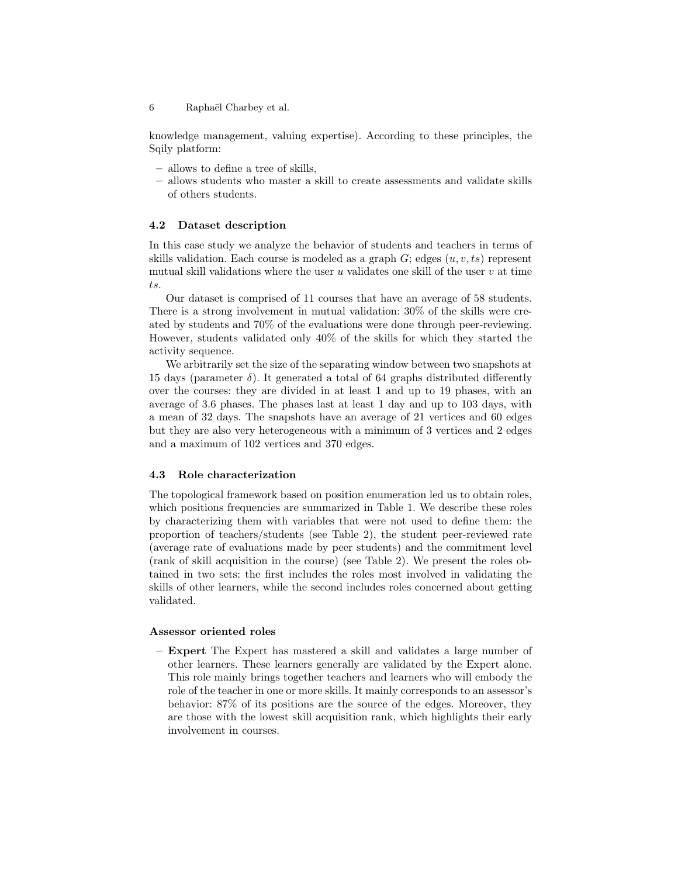6 Raphaël Charbey et al.

knowledge management, valuing expertise). According to these principles, the Sqily platform:

- allows to define a tree of skills,
- allows students who master a skill to create assessments and validate skills of others students.

#### 4.2 Dataset description

In this case study we analyze the behavior of students and teachers in terms of skills validation. Each course is modeled as a graph  $G$ ; edges  $(u, v, ts)$  represent mutual skill validations where the user  $u$  validates one skill of the user  $v$  at time ts.

Our dataset is comprised of 11 courses that have an average of 58 students. There is a strong involvement in mutual validation: 30% of the skills were created by students and 70% of the evaluations were done through peer-reviewing. However, students validated only 40% of the skills for which they started the activity sequence.

We arbitrarily set the size of the separating window between two snapshots at 15 days (parameter  $\delta$ ). It generated a total of 64 graphs distributed differently over the courses: they are divided in at least 1 and up to 19 phases, with an average of 3.6 phases. The phases last at least 1 day and up to 103 days, with a mean of 32 days. The snapshots have an average of 21 vertices and 60 edges but they are also very heterogeneous with a minimum of 3 vertices and 2 edges and a maximum of 102 vertices and 370 edges.

#### 4.3 Role characterization

The topological framework based on position enumeration led us to obtain roles, which positions frequencies are summarized in Table 1. We describe these roles by characterizing them with variables that were not used to define them: the proportion of teachers/students (see Table 2), the student peer-reviewed rate (average rate of evaluations made by peer students) and the commitment level (rank of skill acquisition in the course) (see Table 2). We present the roles obtained in two sets: the first includes the roles most involved in validating the skills of other learners, while the second includes roles concerned about getting validated.

#### Assessor oriented roles

– Expert The Expert has mastered a skill and validates a large number of other learners. These learners generally are validated by the Expert alone. This role mainly brings together teachers and learners who will embody the role of the teacher in one or more skills. It mainly corresponds to an assessor's behavior: 87% of its positions are the source of the edges. Moreover, they are those with the lowest skill acquisition rank, which highlights their early involvement in courses.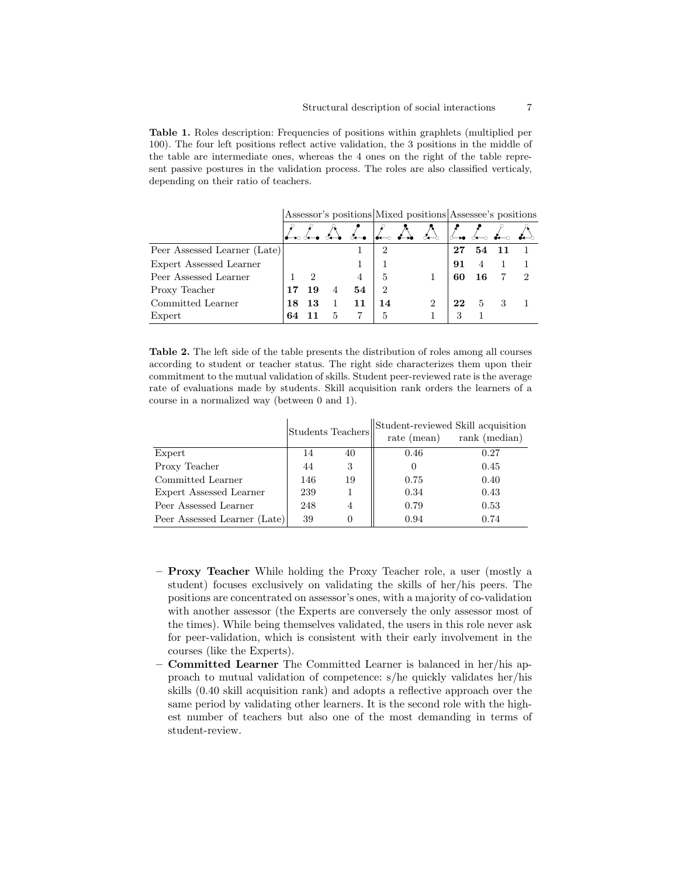Table 1. Roles description: Frequencies of positions within graphlets (multiplied per 100). The four left positions reflect active validation, the 3 positions in the middle of the table are intermediate ones, whereas the 4 ones on the right of the table represent passive postures in the validation process. The roles are also classified verticaly, depending on their ratio of teachers.

Assessor's positions Mixed positions Assessee's positions

| Peer Assessed Learner (Late) |    |    |   |    | $\overline{2}$ |   | 27 | 54 |  |
|------------------------------|----|----|---|----|----------------|---|----|----|--|
| Expert Assessed Learner      |    |    |   |    |                |   | 91 |    |  |
| Peer Assessed Learner        |    | ച  |   |    | $\overline{5}$ |   | 60 | 16 |  |
| Proxy Teacher                |    | 19 |   | 54 | 2              |   |    |    |  |
| Committed Learner            | 18 | 13 |   |    | 14             | റ | 22 | 5  |  |
| Expert                       | 64 |    | 5 |    | 5              |   | 3  |    |  |

Table 2. The left side of the table presents the distribution of roles among all courses according to student or teacher status. The right side characterizes them upon their commitment to the mutual validation of skills. Student peer-reviewed rate is the average rate of evaluations made by students. Skill acquisition rank orders the learners of a course in a normalized way (between 0 and 1).

|                              |     | <b>Students Teachers</b> | Student-reviewed Skill acquisition<br>rank (median)<br>rate (mean) |      |  |  |
|------------------------------|-----|--------------------------|--------------------------------------------------------------------|------|--|--|
| Expert                       | 14  | 40                       | 0.46                                                               | 0.27 |  |  |
| Proxy Teacher                | 44  | 3                        |                                                                    | 0.45 |  |  |
| Committed Learner            | 146 | 19                       | 0.75                                                               | 0.40 |  |  |
| Expert Assessed Learner      | 239 |                          | 0.34                                                               | 0.43 |  |  |
| Peer Assessed Learner        | 248 | 4                        | 0.79                                                               | 0.53 |  |  |
| Peer Assessed Learner (Late) | 39  |                          | 0.94                                                               | 0.74 |  |  |

- Proxy Teacher While holding the Proxy Teacher role, a user (mostly a student) focuses exclusively on validating the skills of her/his peers. The positions are concentrated on assessor's ones, with a majority of co-validation with another assessor (the Experts are conversely the only assessor most of the times). While being themselves validated, the users in this role never ask for peer-validation, which is consistent with their early involvement in the courses (like the Experts).
- Committed Learner The Committed Learner is balanced in her/his approach to mutual validation of competence: s/he quickly validates her/his skills (0.40 skill acquisition rank) and adopts a reflective approach over the same period by validating other learners. It is the second role with the highest number of teachers but also one of the most demanding in terms of student-review.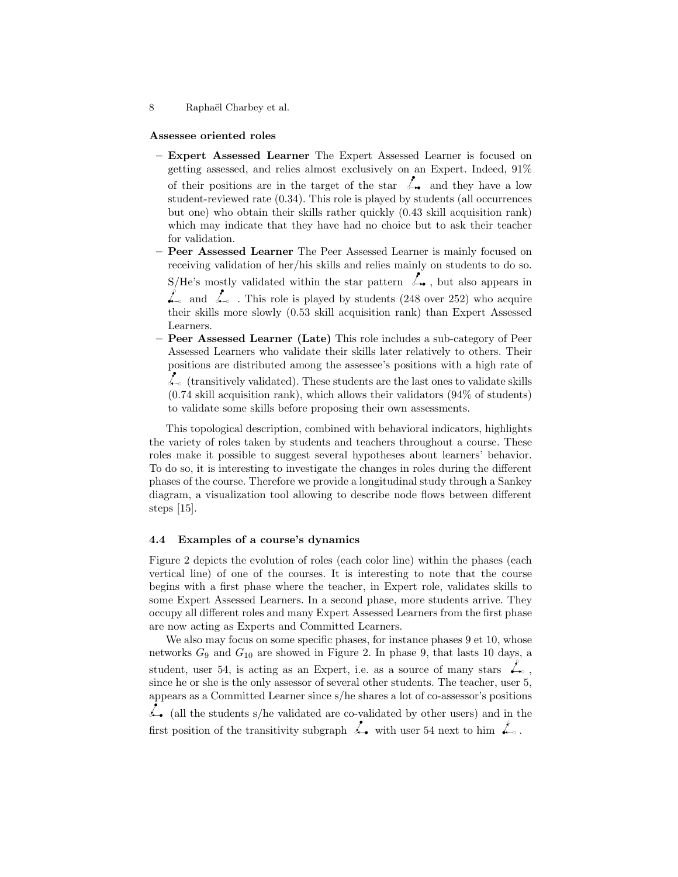#### Assessee oriented roles

– Expert Assessed Learner The Expert Assessed Learner is focused on getting assessed, and relies almost exclusively on an Expert. Indeed, 91% of their positions are in the target of the star  $\mathcal{L}_{\bullet}$  and they have a low student-reviewed rate (0.34). This role is played by students (all occurrences but one) who obtain their skills rather quickly (0.43 skill acquisition rank) which may indicate that they have had no choice but to ask their teacher for validation.

– Peer Assessed Learner The Peer Assessed Learner is mainly focused on receiving validation of her/his skills and relies mainly on students to do so. S/He's mostly validated within the star pattern  $\mathcal{L}_{\bullet}$ , but also appears in  $\mathcal{L}_{\infty}$  and  $\mathcal{L}_{\infty}$ . This role is played by students (248 over 252) who acquire their skills more slowly (0.53 skill acquisition rank) than Expert Assessed Learners.

– Peer Assessed Learner (Late) This role includes a sub-category of Peer Assessed Learners who validate their skills later relatively to others. Their positions are distributed among the assessee's positions with a high rate of  $\mathcal{L}_{\infty}$  (transitively validated). These students are the last ones to validate skills (0.74 skill acquisition rank), which allows their validators (94% of students) to validate some skills before proposing their own assessments.

This topological description, combined with behavioral indicators, highlights the variety of roles taken by students and teachers throughout a course. These roles make it possible to suggest several hypotheses about learners' behavior. To do so, it is interesting to investigate the changes in roles during the different phases of the course. Therefore we provide a longitudinal study through a Sankey diagram, a visualization tool allowing to describe node flows between different steps [15].

#### 4.4 Examples of a course's dynamics

Figure 2 depicts the evolution of roles (each color line) within the phases (each vertical line) of one of the courses. It is interesting to note that the course begins with a first phase where the teacher, in Expert role, validates skills to some Expert Assessed Learners. In a second phase, more students arrive. They occupy all different roles and many Expert Assessed Learners from the first phase are now acting as Experts and Committed Learners.

We also may focus on some specific phases, for instance phases  $9 \text{ et } 10$ , whose networks  $G_9$  and  $G_{10}$  are showed in Figure 2. In phase 9, that lasts 10 days, a student, user 54, is acting as an Expert, i.e. as a source of many stars  $\mathcal{L}_{\infty}$ , since he or she is the only assessor of several other students. The teacher, user 5, appears as a Committed Learner since s/he shares a lot of co-assessor's positions (all the students s/he validated are co-validated by other users) and in the first position of the transitivity subgraph  $\stackrel{\circ}{\leftarrow}$  with user 54 next to him  $\stackrel{\circ}{\leftarrow}$ .

<sup>8</sup> Raphaël Charbey et al.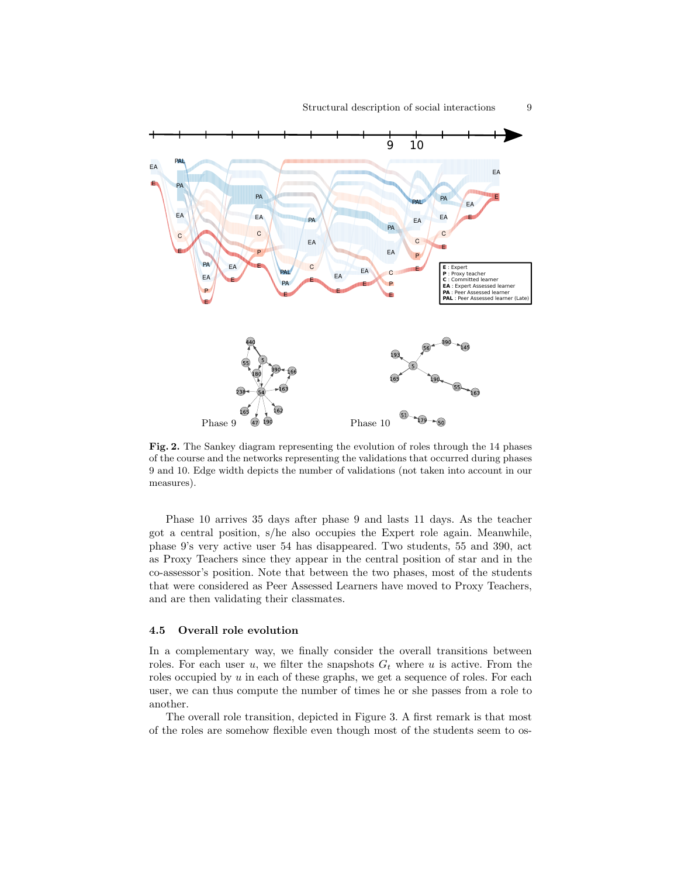

Fig. 2. The Sankey diagram representing the evolution of roles through the 14 phases of the course and the networks representing the validations that occurred during phases 9 and 10. Edge width depicts the number of validations (not taken into account in our measures).

Phase 10 arrives 35 days after phase 9 and lasts 11 days. As the teacher got a central position, s/he also occupies the Expert role again. Meanwhile, phase 9's very active user 54 has disappeared. Two students, 55 and 390, act as Proxy Teachers since they appear in the central position of star and in the co-assessor's position. Note that between the two phases, most of the students that were considered as Peer Assessed Learners have moved to Proxy Teachers, and are then validating their classmates.

#### 4.5 Overall role evolution

In a complementary way, we finally consider the overall transitions between roles. For each user u, we filter the snapshots  $G_t$  where u is active. From the roles occupied by  $u$  in each of these graphs, we get a sequence of roles. For each user, we can thus compute the number of times he or she passes from a role to another.

The overall role transition, depicted in Figure 3. A first remark is that most of the roles are somehow flexible even though most of the students seem to os-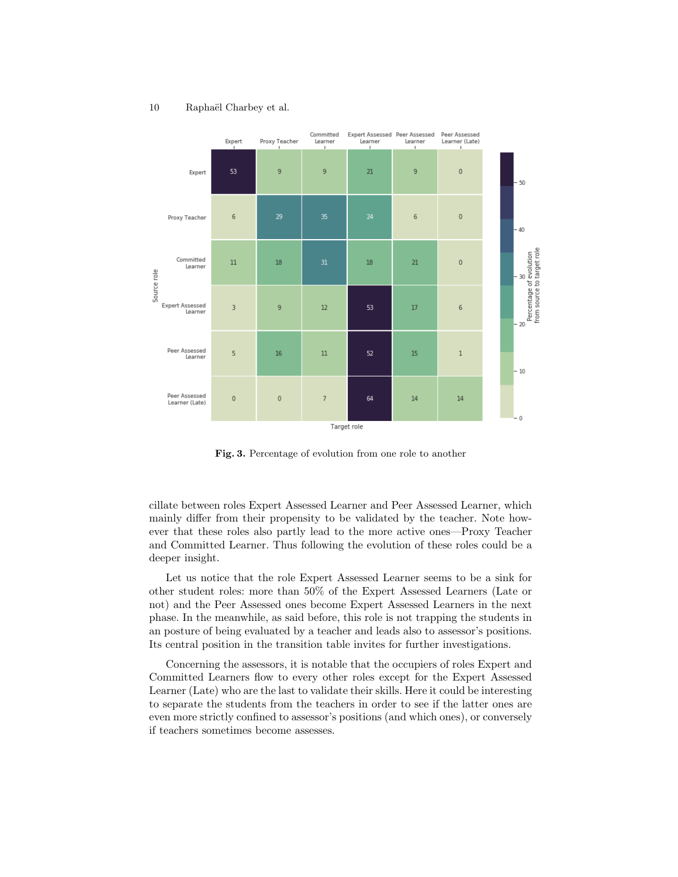#### Committed Expert Assessed Peer Assessed Peer Assessed Expert Proxy Teacher Learner (Late) Learner Learner Learner  $\overline{21}$ 53  $\overline{q}$  $\overline{q}$  $\overline{q}$  $\theta$ Expert 50  $\overline{0}$ Proxy Teacher 6 6 40 evolution Committed  $11$ 18 31 18 21  $\mathbf 0$ Learner Source role Percentage of e<br>from source to ta Expert Assessed  $\overline{3}$  $\overline{9}$  $12$ 53  $17$  $6\overline{6}$ Learner m Peer Assessed<br>Learner  $\overline{5}$ 16  $11$ 52 15  $\overline{1}$  $10$ Peer Assessed  $\mathbf 0$  $\,0\,$ 64  $14$  $14\,$  $\overline{7}$ Learner (Late) Target role

#### 10 Raphaël Charbey et al.

Fig. 3. Percentage of evolution from one role to another

cillate between roles Expert Assessed Learner and Peer Assessed Learner, which mainly differ from their propensity to be validated by the teacher. Note however that these roles also partly lead to the more active ones—Proxy Teacher and Committed Learner. Thus following the evolution of these roles could be a deeper insight.

Let us notice that the role Expert Assessed Learner seems to be a sink for other student roles: more than 50% of the Expert Assessed Learners (Late or not) and the Peer Assessed ones become Expert Assessed Learners in the next phase. In the meanwhile, as said before, this role is not trapping the students in an posture of being evaluated by a teacher and leads also to assessor's positions. Its central position in the transition table invites for further investigations.

Concerning the assessors, it is notable that the occupiers of roles Expert and Committed Learners flow to every other roles except for the Expert Assessed Learner (Late) who are the last to validate their skills. Here it could be interesting to separate the students from the teachers in order to see if the latter ones are even more strictly confined to assessor's positions (and which ones), or conversely if teachers sometimes become assesses.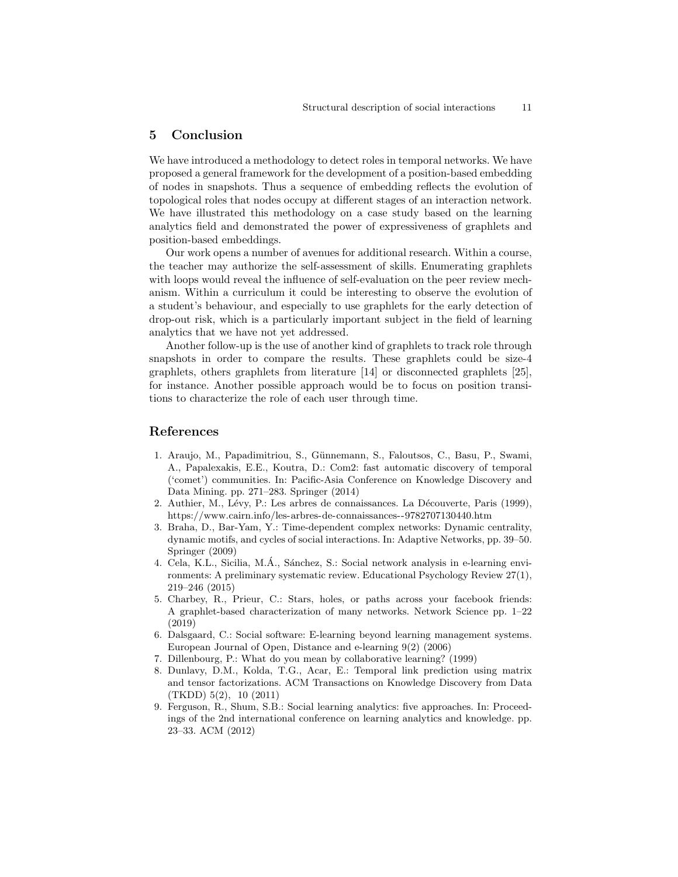#### 5 Conclusion

We have introduced a methodology to detect roles in temporal networks. We have proposed a general framework for the development of a position-based embedding of nodes in snapshots. Thus a sequence of embedding reflects the evolution of topological roles that nodes occupy at different stages of an interaction network. We have illustrated this methodology on a case study based on the learning analytics field and demonstrated the power of expressiveness of graphlets and position-based embeddings.

Our work opens a number of avenues for additional research. Within a course, the teacher may authorize the self-assessment of skills. Enumerating graphlets with loops would reveal the influence of self-evaluation on the peer review mechanism. Within a curriculum it could be interesting to observe the evolution of a student's behaviour, and especially to use graphlets for the early detection of drop-out risk, which is a particularly important subject in the field of learning analytics that we have not yet addressed.

Another follow-up is the use of another kind of graphlets to track role through snapshots in order to compare the results. These graphlets could be size-4 graphlets, others graphlets from literature [14] or disconnected graphlets [25], for instance. Another possible approach would be to focus on position transitions to characterize the role of each user through time.

#### References

- 1. Araujo, M., Papadimitriou, S., Günnemann, S., Faloutsos, C., Basu, P., Swami, A., Papalexakis, E.E., Koutra, D.: Com2: fast automatic discovery of temporal ('comet') communities. In: Pacific-Asia Conference on Knowledge Discovery and Data Mining. pp. 271–283. Springer (2014)
- 2. Authier, M., Lévy, P.: Les arbres de connaissances. La Découverte, Paris (1999), https://www.cairn.info/les-arbres-de-connaissances--9782707130440.htm
- 3. Braha, D., Bar-Yam, Y.: Time-dependent complex networks: Dynamic centrality, dynamic motifs, and cycles of social interactions. In: Adaptive Networks, pp. 39–50. Springer (2009)
- 4. Cela, K.L., Sicilia, M.A., Sánchez, S.: Social network analysis in e-learning environments: A preliminary systematic review. Educational Psychology Review 27(1), 219–246 (2015)
- 5. Charbey, R., Prieur, C.: Stars, holes, or paths across your facebook friends: A graphlet-based characterization of many networks. Network Science pp. 1–22 (2019)
- 6. Dalsgaard, C.: Social software: E-learning beyond learning management systems. European Journal of Open, Distance and e-learning 9(2) (2006)
- 7. Dillenbourg, P.: What do you mean by collaborative learning? (1999)
- 8. Dunlavy, D.M., Kolda, T.G., Acar, E.: Temporal link prediction using matrix and tensor factorizations. ACM Transactions on Knowledge Discovery from Data (TKDD) 5(2), 10 (2011)
- 9. Ferguson, R., Shum, S.B.: Social learning analytics: five approaches. In: Proceedings of the 2nd international conference on learning analytics and knowledge. pp. 23–33. ACM (2012)